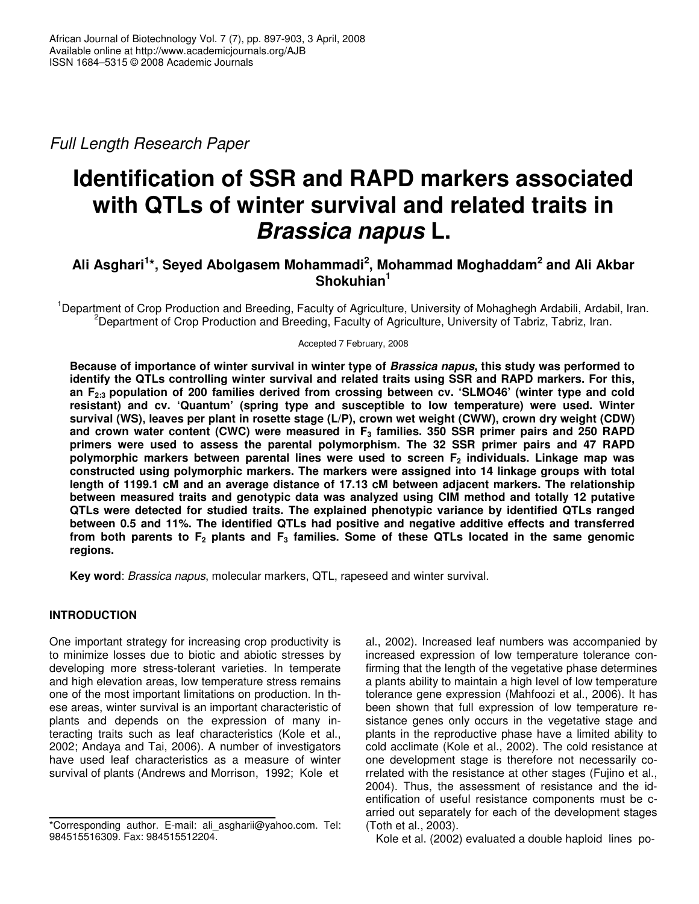*Full Length Research Paper*

# **Identification of SSR and RAPD markers associated with QTLs of winter survival and related traits in** *Brassica napus* **L.**

# **Ali Asghari 1 \*, Seyed Abolgasem Mohammadi 2 , Mohammad Moghaddam 2 and Ali Akbar Shokuhian 1**

<sup>1</sup>Department of Crop Production and Breeding, Faculty of Agriculture, University of Mohaghegh Ardabili, Ardabil, Iran. <sup>2</sup>Department of Crop Production and Breeding, Faculty of Agriculture, University of Tabriz, Tabriz, Iran.

Accepted 7 February, 2008

Because of importance of winter survival in winter type of Brassica napus, this study was performed to **identify the QTLs controlling winter survival and related traits using SSR and RAPD markers. For this, an F2:3 population of 200 families derived from crossing between cv. 'SLMO46' (winter type and cold resistant) and cv. 'Quantum' (spring type and susceptible to low temperature) were used. Winter survival (WS), leaves per plant in rosette stage (L/P), crown wet weight (CWW), crown dry weight (CDW) and crown water content (CWC) were measured in F<sup>3</sup> families. 350 SSR primer pairs and 250 RAPD primers were used to assess the parental polymorphism. The 32 SSR primer pairs and 47 RAPD polymorphic markers between parental lines were used to screen F<sup>2</sup> individuals. Linkage map was constructed using polymorphic markers. The markers were assigned into 14 linkage groups with total length of 1199.1 cM and an average distance of 17.13 cM between adjacent markers. The relationship between measured traits and genotypic data was analyzed using CIM method and totally 12 putative QTLs were detected for studied traits. The explained phenotypic variance by identified QTLs ranged between 0.5 and 11%. The identified QTLs had positive and negative additive effects and transferred** from both parents to  $F_2$  plants and  $F_3$  families. Some of these QTLs located in the same genomic **regions.**

**Key word**: *Brassica napus*, molecular markers, QTL, rapeseed and winter survival.

## **INTRODUCTION**

One important strategy for increasing crop productivity is to minimize losses due to biotic and abiotic stresses by developing more stress-tolerant varieties. In temperate and high elevation areas, low temperature stress remains one of the most important limitations on production. In these areas, winter survival is an important characteristic of plants and depends on the expression of many interacting traits such as leaf characteristics (Kole et al., 2002; Andaya and Tai, 2006). A number of investigators have used leaf characteristics as a measure of winter survival of plants (Andrews and Morrison, 1992; Kole et

al., 2002). Increased leaf numbers was accompanied by increased expression of low temperature tolerance confirming that the length of the vegetative phase determines a plants ability to maintain a high level of low temperature tolerance gene expression (Mahfoozi et al., 2006). It has been shown that full expression of low temperature resistance genes only occurs in the vegetative stage and plants in the reproductive phase have a limited ability to cold acclimate (Kole et al., 2002). The cold resistance at one development stage is therefore not necessarily correlated with the resistance at other stages (Fujino et al., 2004). Thus, the assessment of resistance and the identification of useful resistance components must be carried out separately for each of the development stages (Toth et al., 2003).

Kole et al. (2002) evaluated a double haploid lines po-

<sup>\*</sup>Corresponding author. E-mail: ali\_asgharii@yahoo.com. Tel: 984515516309. Fax: 984515512204.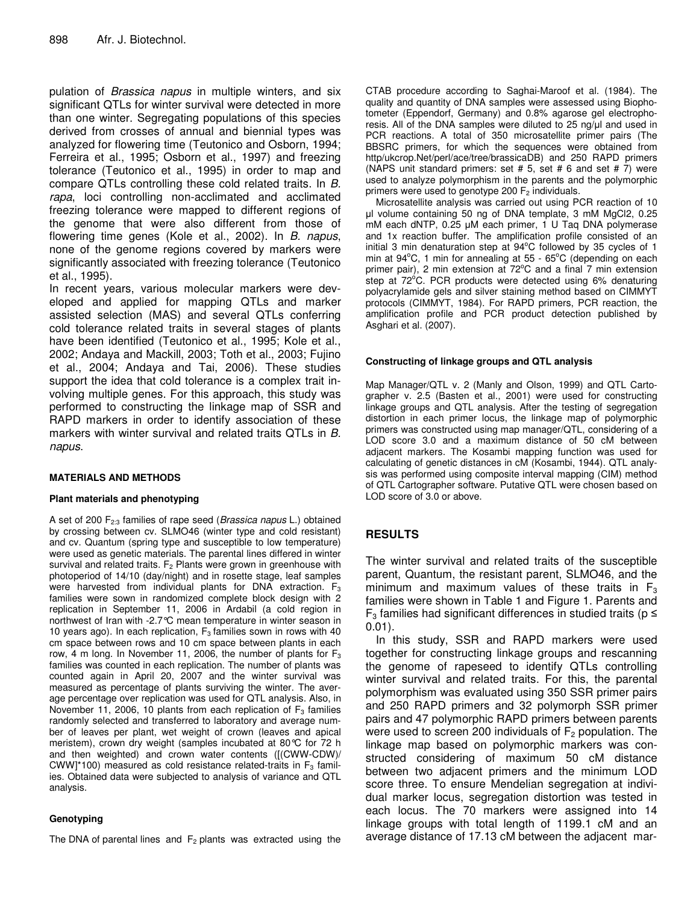pulation of *Brassica napus* in multiple winters, and six significant QTLs for winter survival were detected in more than one winter. Segregating populations of this species derived from crosses of annual and biennial types was analyzed for flowering time (Teutonico and Osborn, 1994; Ferreira et al., 1995; Osborn et al., 1997) and freezing tolerance (Teutonico et al., 1995) in order to map and compare QTLs controlling these cold related traits. In *B. rapa*, loci controlling non-acclimated and acclimated freezing tolerance were mapped to different regions of the genome that were also different from those of flowering time genes (Kole et al., 2002). In *B. napus*, none of the genome regions covered by markers were significantly associated with freezing tolerance (Teutonico et al., 1995).

In recent years, various molecular markers were developed and applied for mapping QTLs and marker assisted selection (MAS) and several QTLs conferring cold tolerance related traits in several stages of plants have been identified (Teutonico et al., 1995; Kole et al., 2002; Andaya and Mackill, 2003; Toth et al., 2003; Fujino et al., 2004; Andaya and Tai, 2006). These studies support the idea that cold tolerance is a complex trait involving multiple genes. For this approach, this study was performed to constructing the linkage map of SSR and RAPD markers in order to identify association of these markers with winter survival and related traits QTLs in *B. napus*.

#### **MATERIALS AND METHODS**

#### **Plant materials and phenotyping**

A set of 200 F2:3 families of rape seed (*Brassica napus* L.) obtained by crossing between cv. SLMO46 (winter type and cold resistant) and cv. Quantum (spring type and susceptible to low temperature) were used as genetic materials. The parental lines differed in winter survival and related traits.  $F_2$  Plants were grown in greenhouse with photoperiod of 14/10 (day/night) and in rosette stage, leaf samples were harvested from individual plants for DNA extraction.  $F_3$ families were sown in randomized complete block design with 2 replication in September 11, 2006 in Ardabil (a cold region in northwest of Iran with -2.7°C mean temperature in winter season in 10 years ago). In each replication,  $F_3$  families sown in rows with 40 cm space between rows and 10 cm space between plants in each row, 4 m long. In November 11, 2006, the number of plants for  $F_3$ families was counted in each replication. The number of plants was counted again in April 20, 2007 and the winter survival was measured as percentage of plants surviving the winter. The average percentage over replication was used for QTL analysis. Also, in November 11, 2006, 10 plants from each replication of  $F_3$  families randomly selected and transferred to laboratory and average number of leaves per plant, wet weight of crown (leaves and apical meristem), crown dry weight (samples incubated at 80°C for 72 h and then weighted) and crown water contents ([(CWW-CDW)/ CWW]\*100) measured as cold resistance related-traits in  $F_3$  families. Obtained data were subjected to analysis of variance and QTL analysis.

#### **Genotyping**

The DNA of parental lines and  $F_2$  plants was extracted using the

CTAB procedure according to Saghai-Maroof et al. (1984). The quality and quantity of DNA samples were assessed using Biophotometer (Eppendorf, Germany) and 0.8% agarose gel electrophoresis. All of the DNA samples were diluted to 25 ng/ul and used in PCR reactions. A total of 350 microsatellite primer pairs (The BBSRC primers, for which the sequences were obtained from http/ukcrop.Net/perl/ace/tree/brassicaDB) and 250 RAPD primers (NAPS unit standard primers: set  $# 5$ , set  $# 6$  and set  $# 7$ ) were used to analyze polymorphism in the parents and the polymorphic primers were used to genotype 200  $F_2$  individuals.

Microsatellite analysis was carried out using PCR reaction of 10 l volume containing 50 ng of DNA template, 3 mM MgCl2, 0.25 mM each dNTP, 0.25 µM each primer, 1 U Taq DNA polymerase and 1x reaction buffer. The amplification profile consisted of an initial 3 min denaturation step at 94°C followed by 35 cycles of 1 min at 94°C, 1 min for annealing at 55 - 65°C (depending on each primer pair), 2 min extension at 72°C and a final 7 min extension step at 72°C. PCR products were detected using 6% denaturing polyacrylamide gels and silver staining method based on CIMMYT protocols (CIMMYT, 1984). For RAPD primers, PCR reaction, the amplification profile and PCR product detection published by Asghari et al. (2007).

#### **Constructing of linkage groups and QTL analysis**

Map Manager/QTL v. 2 (Manly and Olson, 1999) and QTL Cartographer v. 2.5 (Basten et al., 2001) were used for constructing linkage groups and QTL analysis. After the testing of segregation distortion in each primer locus, the linkage map of polymorphic primers was constructed using map manager/QTL, considering of a LOD score 3.0 and a maximum distance of 50 cM between adjacent markers. The Kosambi mapping function was used for calculating of genetic distances in cM (Kosambi, 1944). QTL analysis was performed using composite interval mapping (CIM) method of QTL Cartographer software. Putative QTL were chosen based on LOD score of 3.0 or above.

## **RESULTS**

The winter survival and related traits of the susceptible parent, Quantum, the resistant parent, SLMO46, and the minimum and maximum values of these traits in  $F_3$ families were shown in Table 1 and Figure 1. Parents and  $\mathsf{F}_3$  families had significant differences in studied traits (p  $\leq$ 0.01).

In this study, SSR and RAPD markers were used together for constructing linkage groups and rescanning the genome of rapeseed to identify QTLs controlling winter survival and related traits. For this, the parental polymorphism was evaluated using 350 SSR primer pairs and 250 RAPD primers and 32 polymorph SSR primer pairs and 47 polymorphic RAPD primers between parents were used to screen 200 individuals of  $F_2$  population. The linkage map based on polymorphic markers was constructed considering of maximum 50 cM distance between two adjacent primers and the minimum LOD score three. To ensure Mendelian segregation at individual marker locus, segregation distortion was tested in each locus. The 70 markers were assigned into 14 linkage groups with total length of 1199.1 cM and an average distance of 17.13 cM between the adjacent mar-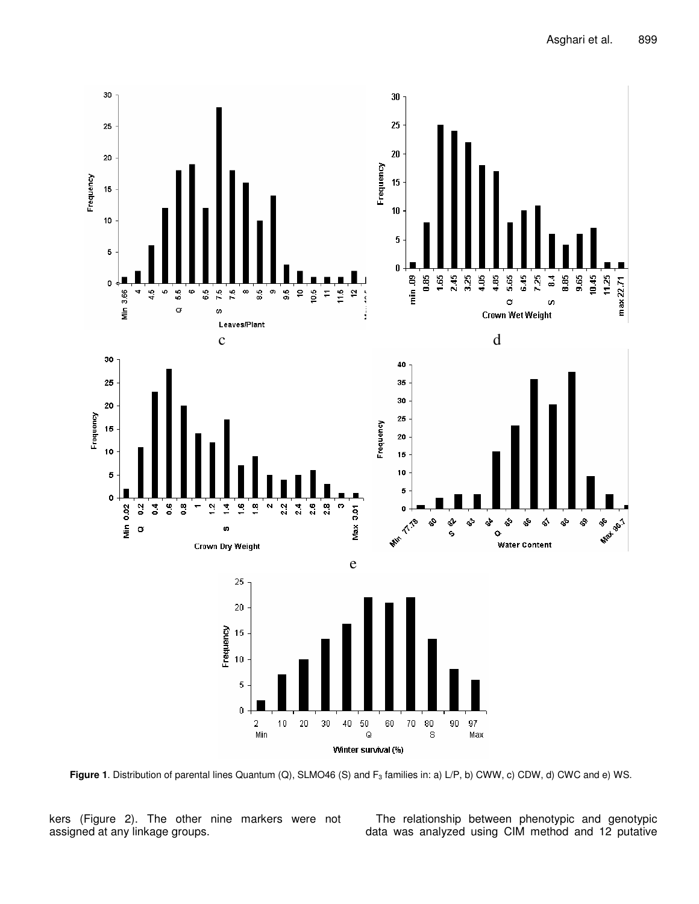

**Figure 1**. Distribution of parental lines Quantum (Q), SLMO46 (S) and F<sub>3</sub> families in: a) L/P, b) CWW, c) CDW, d) CWC and e) WS.

kers (Figure 2). The other nine markers were not assigned at any linkage groups.

The relationship between phenotypic and genotypic data was analyzed using CIM method and 12 putative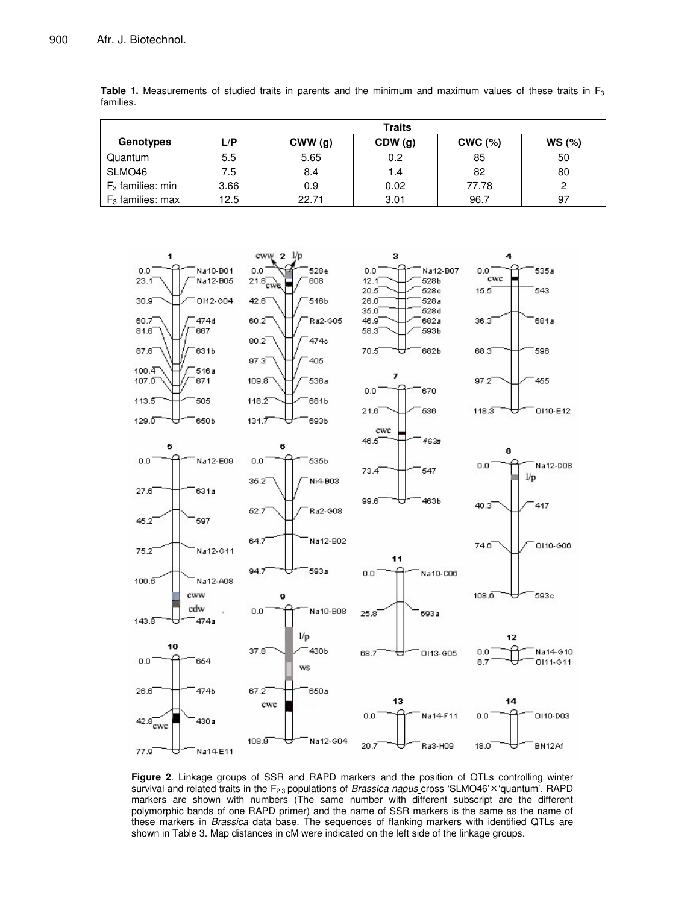|                     | <b>Traits</b> |        |                  |        |       |  |  |
|---------------------|---------------|--------|------------------|--------|-------|--|--|
| Genotypes           | L/P           | CWW(g) | CDW (g)          | CWC(%) | WS(%) |  |  |
| Quantum             | 5.5           | 5.65   | 0.2 <sub>0</sub> | 85     | 50    |  |  |
| SLMO46              | 7.5           | 8.4    | 1.4              | 82     | 80    |  |  |
| $F_3$ families: min | 3.66          | 0.9    | 0.02             | 77.78  | 2     |  |  |
| $F_3$ families: max | 12.5          | 22.71  | 3.01             | 96.7   | 97    |  |  |

**Table 1.** Measurements of studied traits in parents and the minimum and maximum values of these traits in  $F_3$ families.



**Figure 2**. Linkage groups of SSR and RAPD markers and the position of QTLs controlling winter survival and related traits in the F<sub>2:3</sub> populations of *Brassica napus* cross 'SLMO46'×'quantum'. RAPD markers are shown with numbers (The same number with different subscript are the different polymorphic bands of one RAPD primer) and the name of SSR markers is the same as the name of these markers in *Brassica* data base. The sequences of flanking markers with identified QTLs are shown in Table 3. Map distances in cM were indicated on the left side of the linkage groups.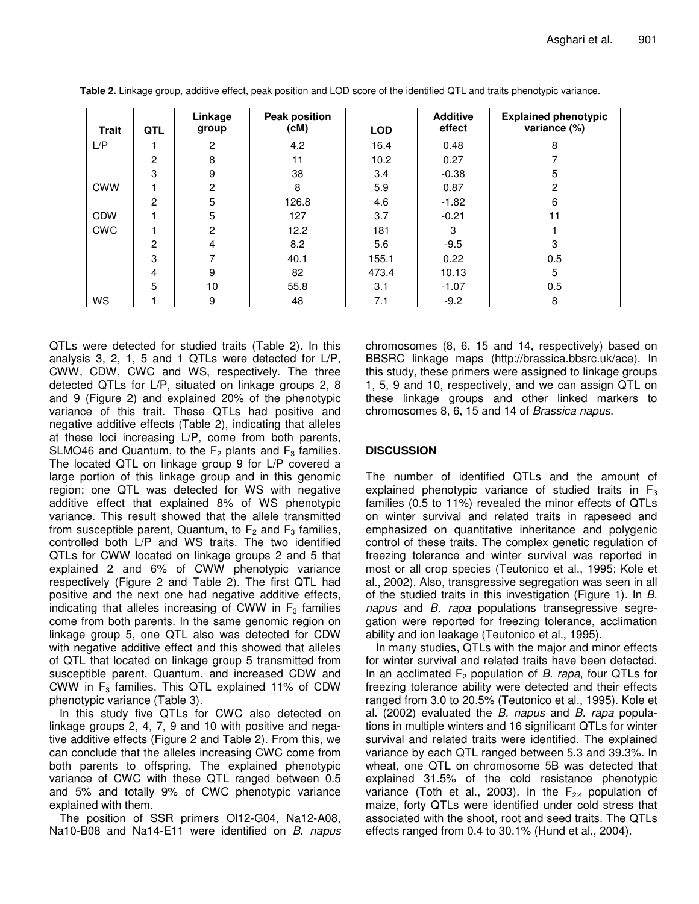| <b>Trait</b> | QTL | Linkage<br>group | <b>Peak position</b><br>(cM) | <b>LOD</b> | <b>Additive</b><br>effect | <b>Explained phenotypic</b><br>variance (%) |
|--------------|-----|------------------|------------------------------|------------|---------------------------|---------------------------------------------|
| L/P          |     | $\overline{2}$   | 4.2                          | 16.4       | 0.48                      | 8                                           |
|              | 2   | 8                | 11                           | 10.2       | 0.27                      |                                             |
|              | 3   | 9                | 38                           | 3.4        | $-0.38$                   | 5                                           |
| <b>CWW</b>   |     | 2                | 8                            | 5.9        | 0.87                      | 2                                           |
|              | 2   | 5                | 126.8                        | 4.6        | $-1.82$                   | 6                                           |
| <b>CDW</b>   |     | 5                | 127                          | 3.7        | $-0.21$                   | 11                                          |
| <b>CWC</b>   |     | $\overline{2}$   | 12.2                         | 181        | 3                         |                                             |
|              | 2   | 4                | 8.2                          | 5.6        | $-9.5$                    | 3                                           |
|              | 3   |                  | 40.1                         | 155.1      | 0.22                      | 0.5                                         |
|              | 4   | 9                | 82                           | 473.4      | 10.13                     | 5                                           |
|              | 5   | 10               | 55.8                         | 3.1        | $-1.07$                   | 0.5                                         |
| <b>WS</b>    |     | 9                | 48                           | 7.1        | $-9.2$                    | 8                                           |

**Table 2.** Linkage group, additive effect, peak position and LOD score of the identified QTL and traits phenotypic variance.

QTLs were detected for studied traits (Table 2). In this analysis 3, 2, 1, 5 and 1 QTLs were detected for L/P, CWW, CDW, CWC and WS, respectively. The three detected QTLs for L/P, situated on linkage groups 2, 8 and 9 (Figure 2) and explained 20% of the phenotypic variance of this trait. These QTLs had positive and negative additive effects (Table 2), indicating that alleles at these loci increasing L/P, come from both parents, SLMO46 and Quantum, to the  $F_2$  plants and  $F_3$  families. The located QTL on linkage group 9 for L/P covered a large portion of this linkage group and in this genomic region; one QTL was detected for WS with negative additive effect that explained 8% of WS phenotypic variance. This result showed that the allele transmitted from susceptible parent, Quantum, to  $F_2$  and  $F_3$  families, controlled both L/P and WS traits. The two identified QTLs for CWW located on linkage groups 2 and 5 that explained 2 and 6% of CWW phenotypic variance respectively (Figure 2 and Table 2). The first QTL had positive and the next one had negative additive effects, indicating that alleles increasing of CWW in  $F_3$  families come from both parents. In the same genomic region on linkage group 5, one QTL also was detected for CDW with negative additive effect and this showed that alleles of QTL that located on linkage group 5 transmitted from susceptible parent, Quantum, and increased CDW and CWW in  $F_3$  families. This QTL explained 11% of CDW phenotypic variance (Table 3).

In this study five QTLs for CWC also detected on linkage groups 2, 4, 7, 9 and 10 with positive and negative additive effects (Figure 2 and Table 2). From this, we can conclude that the alleles increasing CWC come from both parents to offspring. The explained phenotypic variance of CWC with these QTL ranged between 0.5 and 5% and totally 9% of CWC phenotypic variance explained with them.

The position of SSR primers Ol12-G04, Na12-A08, Na10-B08 and Na14-E11 were identified on *B. napus*

chromosomes (8, 6, 15 and 14, respectively) based on BBSRC linkage maps (http://brassica.bbsrc.uk/ace). In this study, these primers were assigned to linkage groups 1, 5, 9 and 10, respectively, and we can assign QTL on these linkage groups and other linked markers to chromosomes 8, 6, 15 and 14 of *Brassica napus*.

#### **DISCUSSION**

The number of identified QTLs and the amount of explained phenotypic variance of studied traits in  $F_3$ families (0.5 to 11%) revealed the minor effects of QTLs on winter survival and related traits in rapeseed and emphasized on quantitative inheritance and polygenic control of these traits. The complex genetic regulation of freezing tolerance and winter survival was reported in most or all crop species (Teutonico et al., 1995; Kole et al., 2002). Also, transgressive segregation was seen in all of the studied traits in this investigation (Figure 1). In *B. napus* and *B. rapa* populations transegressive segregation were reported for freezing tolerance, acclimation ability and ion leakage (Teutonico et al., 1995).

In many studies, QTLs with the major and minor effects for winter survival and related traits have been detected. In an acclimated F<sup>2</sup> population of *B. rapa*, four QTLs for freezing tolerance ability were detected and their effects ranged from 3.0 to 20.5% (Teutonico et al., 1995). Kole et al. (2002) evaluated the *B. napus* and *B. rapa* populations in multiple winters and 16 significant QTLs for winter survival and related traits were identified. The explained variance by each QTL ranged between 5.3 and 39.3%. In wheat, one QTL on chromosome 5B was detected that explained 31.5% of the cold resistance phenotypic variance (Toth et al., 2003). In the  $F_{2:4}$  population of maize, forty QTLs were identified under cold stress that associated with the shoot, root and seed traits. The QTLs effects ranged from 0.4 to 30.1% (Hund et al., 2004).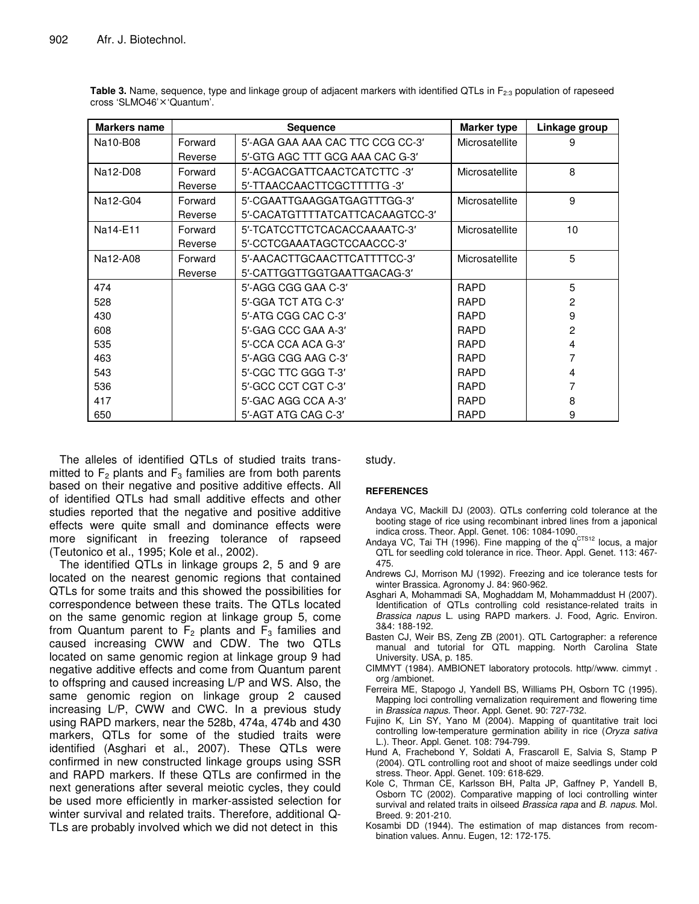| <b>Markers name</b> |         | <b>Sequence</b>                  | <b>Marker type</b> | Linkage group |
|---------------------|---------|----------------------------------|--------------------|---------------|
| Na10-B08            | Forward | 5'-AGA GAA AAA CAC TTC CCG CC-3' | Microsatellite     | 9             |
|                     | Reverse | 5'-GTG AGC TTT GCG AAA CAC G-3'  |                    |               |
| Na12-D08            | Forward | 5'-ACGACGATTCAACTCATCTTC-3'      | Microsatellite     | 8             |
|                     | Reverse | 5'-TTAACCAACTTCGCTTTTTG-3'       |                    |               |
| Na12-G04            | Forward | 5'-CGAATTGAAGGATGAGTTTGG-3'      | Microsatellite     | 9             |
|                     | Reverse | 5'-CACATGTTTTATCATTCACAAGTCC-3'  |                    |               |
| Na14-E11            | Forward | 5'-TCATCCTTCTCACACCAAAATC-3'     | Microsatellite     | 10            |
|                     | Reverse | 5'-CCTCGAAATAGCTCCAACCC-3'       |                    |               |
| Na12-A08            | Forward | 5'-AACACTTGCAACTTCATTTTCC-3'     | Microsatellite     | 5             |
|                     | Reverse | 5'-CATTGGTTGGTGAATTGACAG-3'      |                    |               |
| 474                 |         | 5'-AGG CGG GAA C-3'              | <b>RAPD</b>        | 5             |
| 528                 |         | 5'-GGA TCT ATG C-3'              | <b>RAPD</b>        | 2             |
| 430                 |         | 5'-ATG CGG CAC C-3'              | <b>RAPD</b>        | 9             |
| 608                 |         | 5'-GAG CCC GAA A-3'              | <b>RAPD</b>        | 2             |
| 535                 |         | 5'-CCA CCA ACA G-3'              | <b>RAPD</b>        | 4             |
| 463                 |         | 5'-AGG CGG AAG C-3'              | <b>RAPD</b>        |               |
| 543                 |         | 5'-CGC TTC GGG T-3'              | <b>RAPD</b>        | 4             |
| 536                 |         | 5'-GCC CCT CGT C-3'              | <b>RAPD</b>        |               |
| 417                 |         | 5'-GAC AGG CCA A-3'              | <b>RAPD</b>        | 8             |
| 650                 |         | 5'-AGT ATG CAG C-3'              | <b>RAPD</b>        | 9             |

**Table 3.** Name, sequence, type and linkage group of adjacent markers with identified QTLs in F<sub>2:3</sub> population of rapeseed cross 'SLMO46' × 'Quantum'.

The alleles of identified QTLs of studied traits transmitted to  $F_2$  plants and  $F_3$  families are from both parents based on their negative and positive additive effects. All of identified QTLs had small additive effects and other studies reported that the negative and positive additive effects were quite small and dominance effects were more significant in freezing tolerance of rapseed (Teutonico et al., 1995; Kole et al., 2002).

The identified QTLs in linkage groups 2, 5 and 9 are located on the nearest genomic regions that contained QTLs for some traits and this showed the possibilities for correspondence between these traits. The QTLs located on the same genomic region at linkage group 5, come from Quantum parent to  $F_2$  plants and  $F_3$  families and caused increasing CWW and CDW. The two QTLs located on same genomic region at linkage group 9 had negative additive effects and come from Quantum parent to offspring and caused increasing L/P and WS. Also, the same genomic region on linkage group 2 caused increasing L/P, CWW and CWC. In a previous study using RAPD markers, near the 528b, 474a, 474b and 430 markers, QTLs for some of the studied traits were identified (Asghari et al., 2007). These QTLs were confirmed in new constructed linkage groups using SSR and RAPD markers. If these QTLs are confirmed in the next generations after several meiotic cycles, they could be used more efficiently in marker-assisted selection for winter survival and related traits. Therefore, additional Q-TLs are probably involved which we did not detect in this

study.

#### **REFERENCES**

- Andaya VC, Mackill DJ (2003). QTLs conferring cold tolerance at the booting stage of rice using recombinant inbred lines from a japonical indica cross. Theor. Appl. Genet. 106: 1084-1090.
- Andaya VC, Tai TH (1996). Fine mapping of the q<sup>CTS12</sup> locus, a major QTL for seedling cold tolerance in rice. Theor. Appl. Genet. 113: 467- 475.
- Andrews CJ, Morrison MJ (1992). Freezing and ice tolerance tests for winter Brassica. Agronomy J. 84: 960-962.
- Asghari A, Mohammadi SA, Moghaddam M, Mohammaddust H (2007). Identification of QTLs controlling cold resistance-related traits in *Brassica napus* L. using RAPD markers. J. Food, Agric. Environ. 3&4: 188-192.
- Basten CJ, Weir BS, Zeng ZB (2001). QTL Cartographer: a reference manual and tutorial for QTL mapping. North Carolina State University. USA, p. 185.
- CIMMYT (1984). AMBIONET laboratory protocols. http//www. cimmyt . org /ambionet.
- Ferreira ME, Stapogo J, Yandell BS, Williams PH, Osborn TC (1995). Mapping loci controlling vernalization requirement and flowering time in *Brassica napus*. Theor. Appl. Genet. 90: 727-732.
- Fujino K, Lin SY, Yano M (2004). Mapping of quantitative trait loci controlling low-temperature germination ability in rice (*Oryza sativa* L.). Theor. Appl. Genet. 108: 794-799.
- Hund A, Frachebond Y, Soldati A, Frascaroll E, Salvia S, Stamp P (2004). QTL controlling root and shoot of maize seedlings under cold stress. Theor. Appl. Genet. 109: 618-629.
- Kole C, Thrman CE, Karlsson BH, Palta JP, Gaffney P, Yandell B, Osborn TC (2002). Comparative mapping of loci controlling winter survival and related traits in oilseed *Brassica rapa* and *B. napus*. Mol. Breed. 9: 201-210.
- Kosambi DD (1944). The estimation of map distances from recombination values. Annu. Eugen, 12: 172-175.